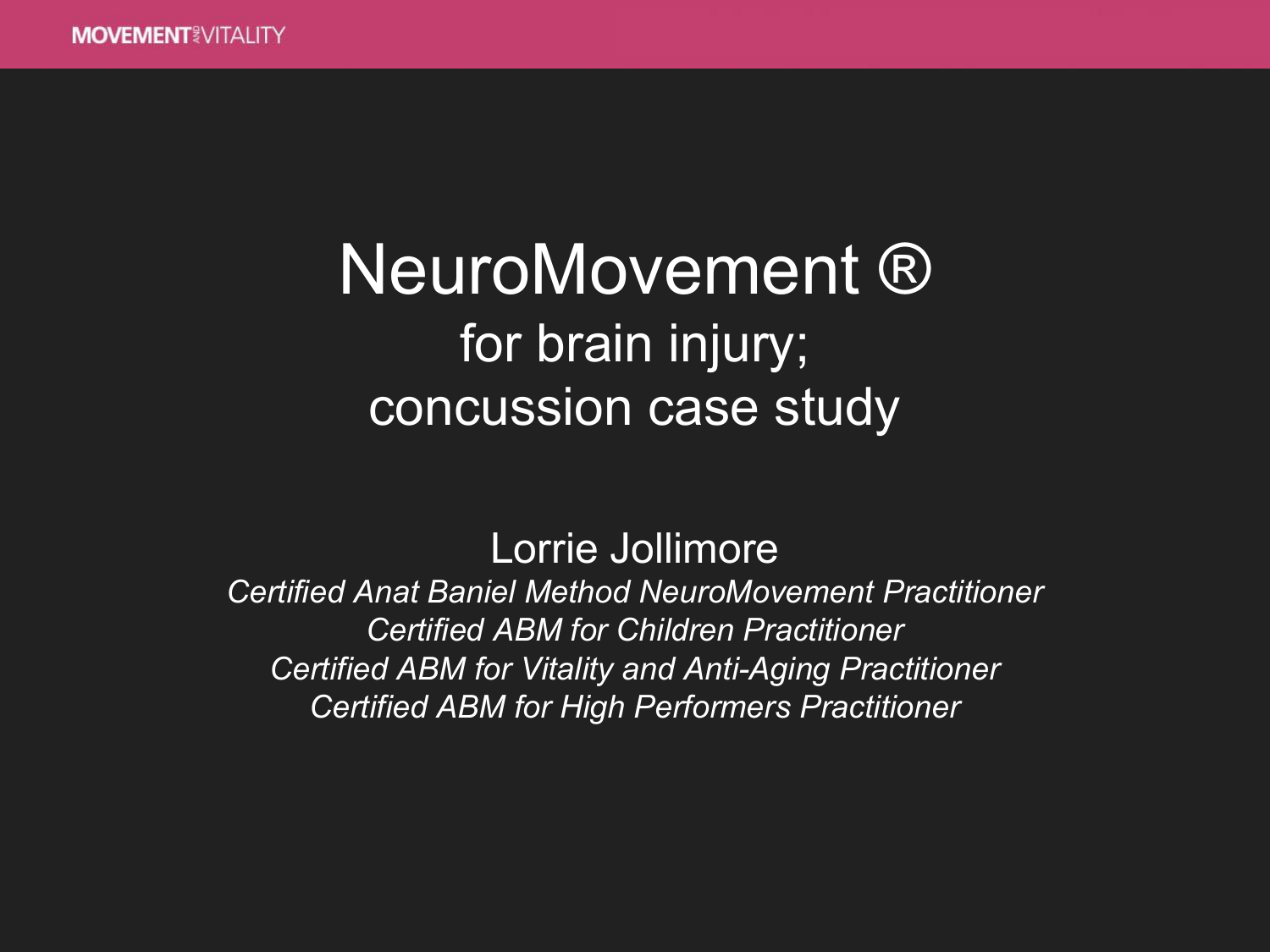#### NeuroMovement ® for brain injury; concussion case study

Lorrie Jollimore

*Certified Anat Baniel Method NeuroMovement Practitioner Certified ABM for Children Practitioner Certified ABM for Vitality and Anti-Aging Practitioner Certified ABM for High Performers Practitioner*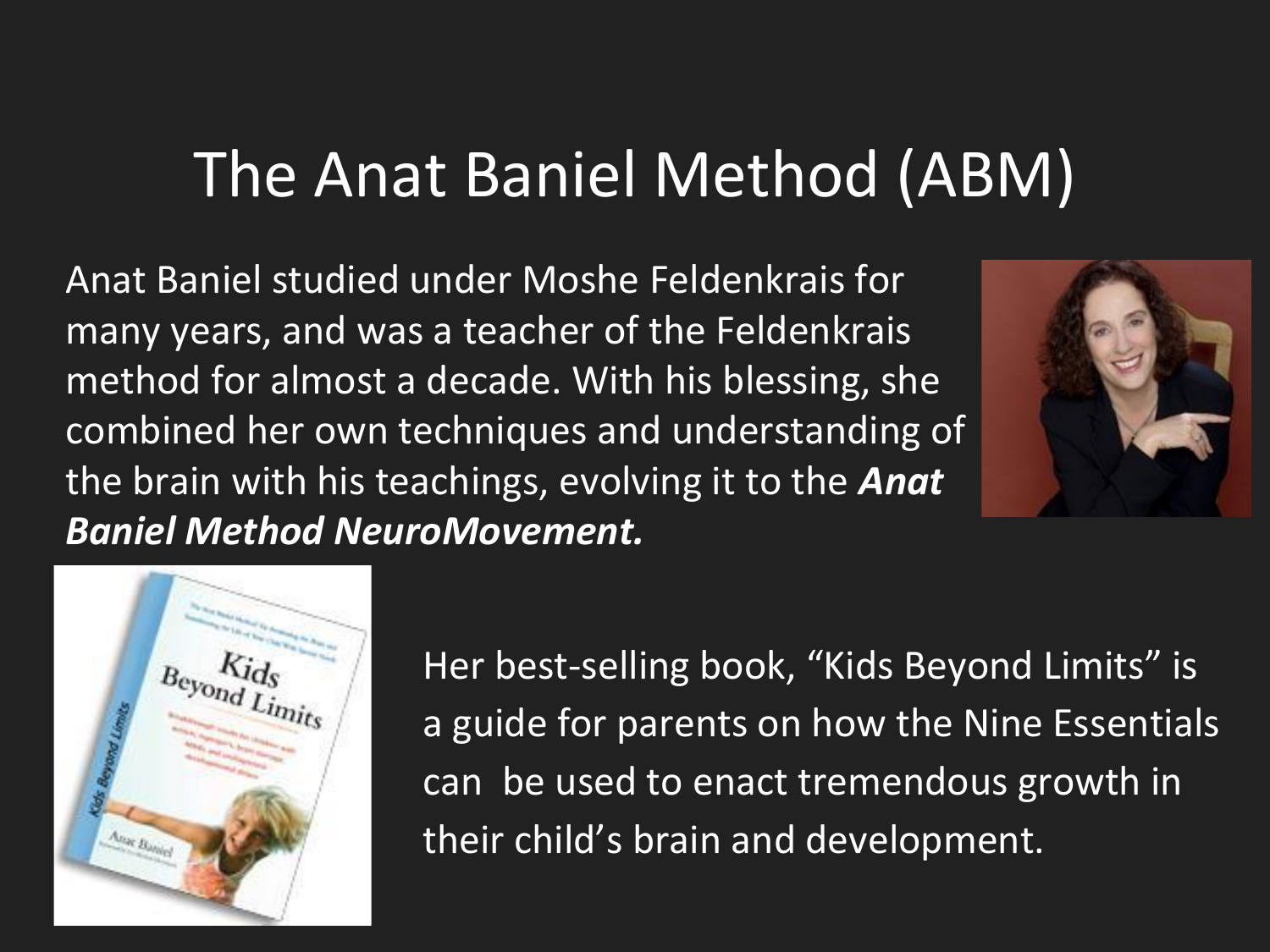#### The Anat Baniel Method (ABM)

Anat Baniel studied under Moshe Feldenkrais for many years, and was a teacher of the Feldenkrais method for almost a decade. With his blessing, she combined her own techniques and understanding of the brain with his teachings, evolving it to the *Anat Baniel Method NeuroMovement.*





Her best-selling book, "Kids Beyond Limits" is a guide for parents on how the Nine Essentials can be used to enact tremendous growth in their child's brain and development.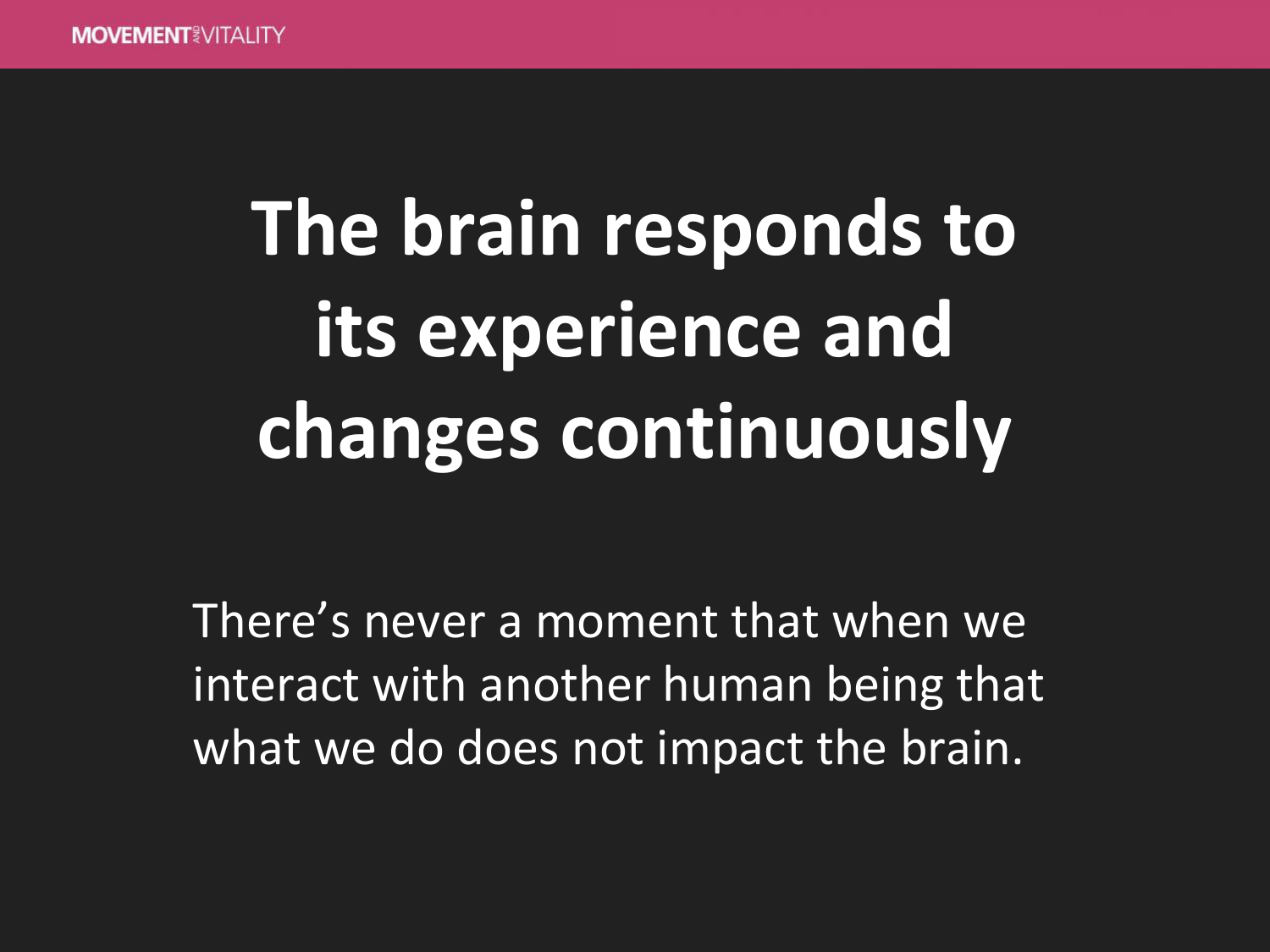# **The brain responds to its experience and changes continuously**

There's never a moment that when we interact with another human being that what we do does not impact the brain.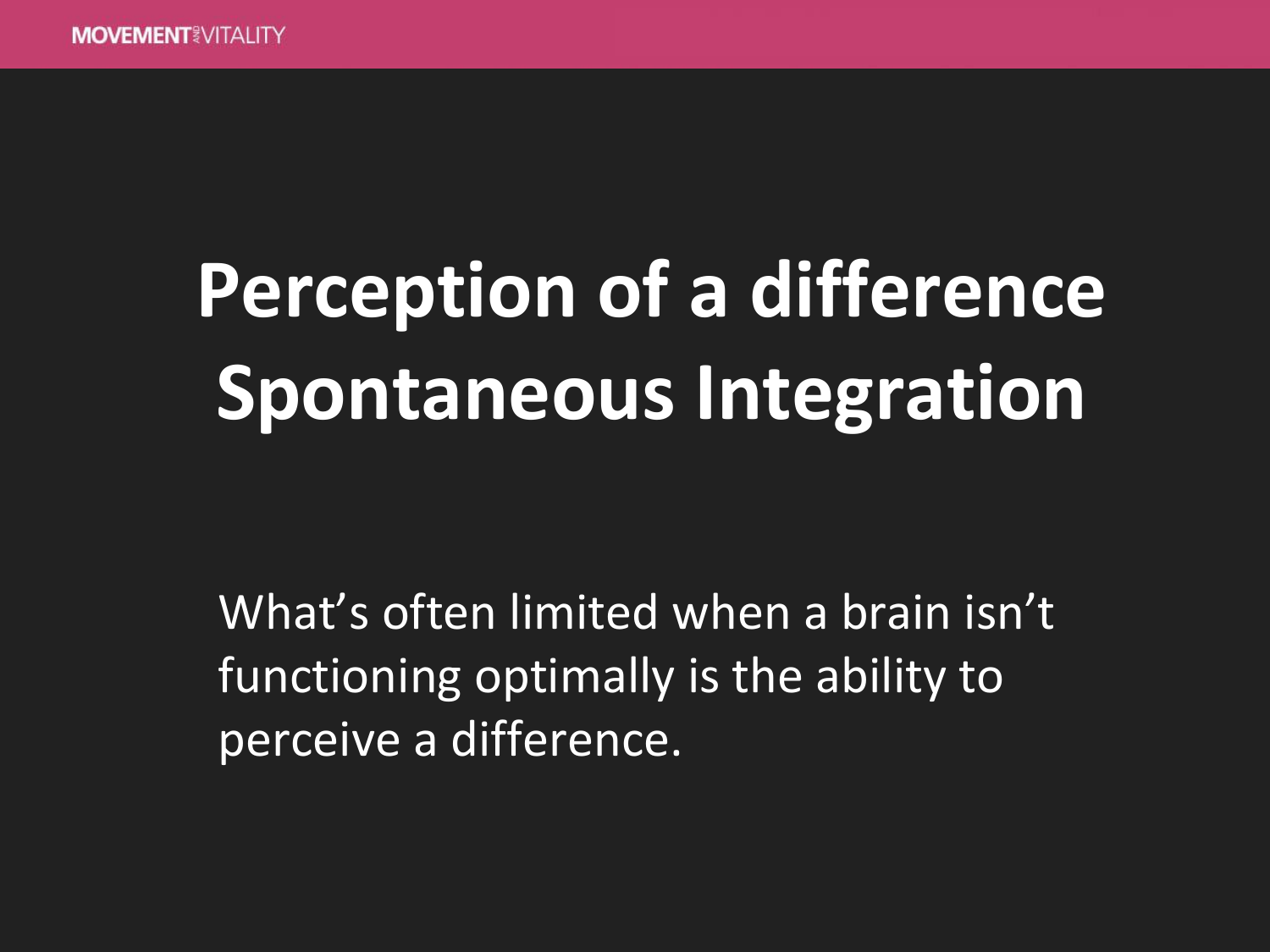## **Perception of a difference Spontaneous Integration**

What's often limited when a brain isn't functioning optimally is the ability to perceive a difference.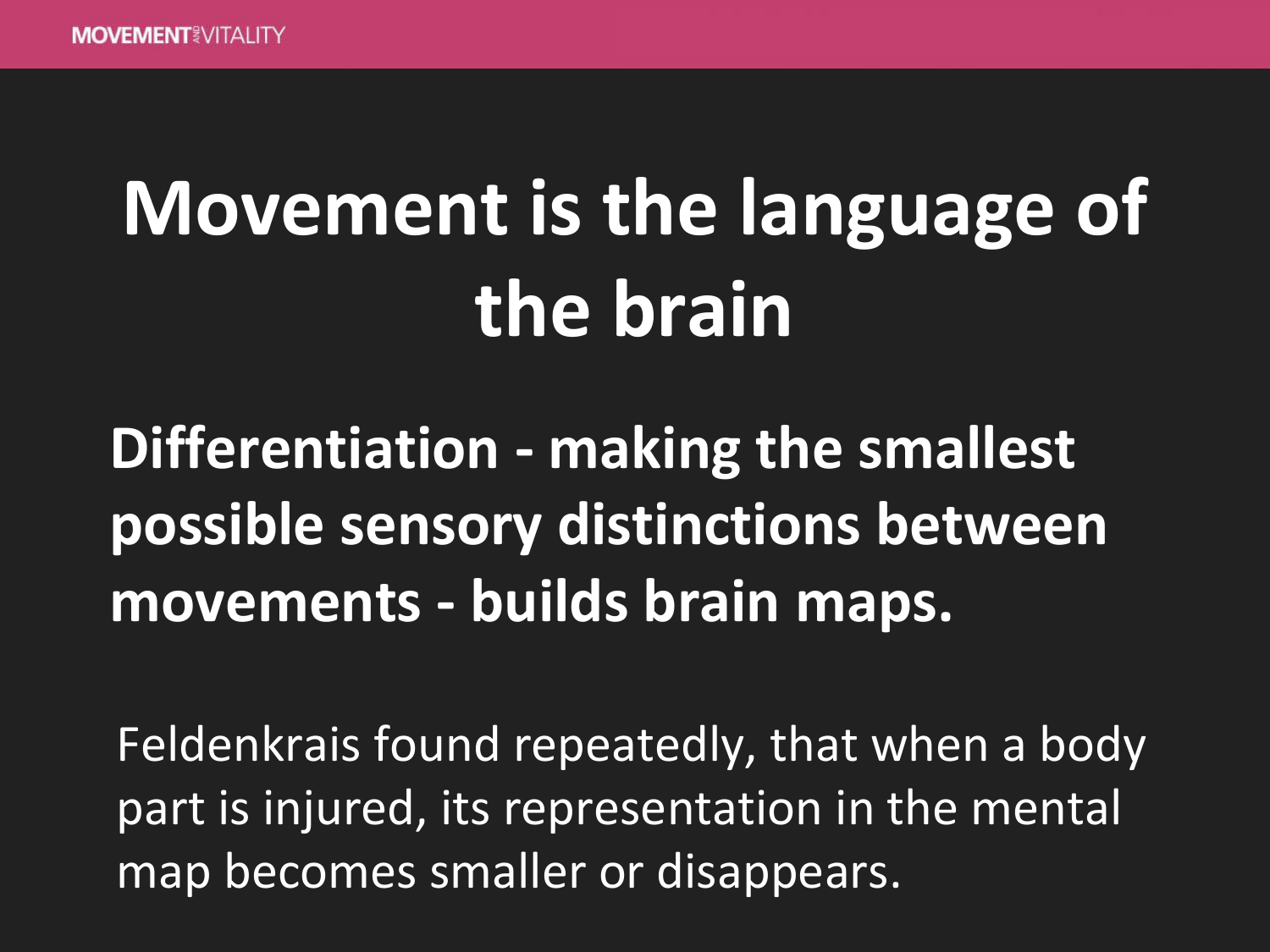## **Movement is the language of the brain**

#### **Differentiation - making the smallest possible sensory distinctions between movements - builds brain maps.**

Feldenkrais found repeatedly, that when a body part is injured, its representation in the mental map becomes smaller or disappears.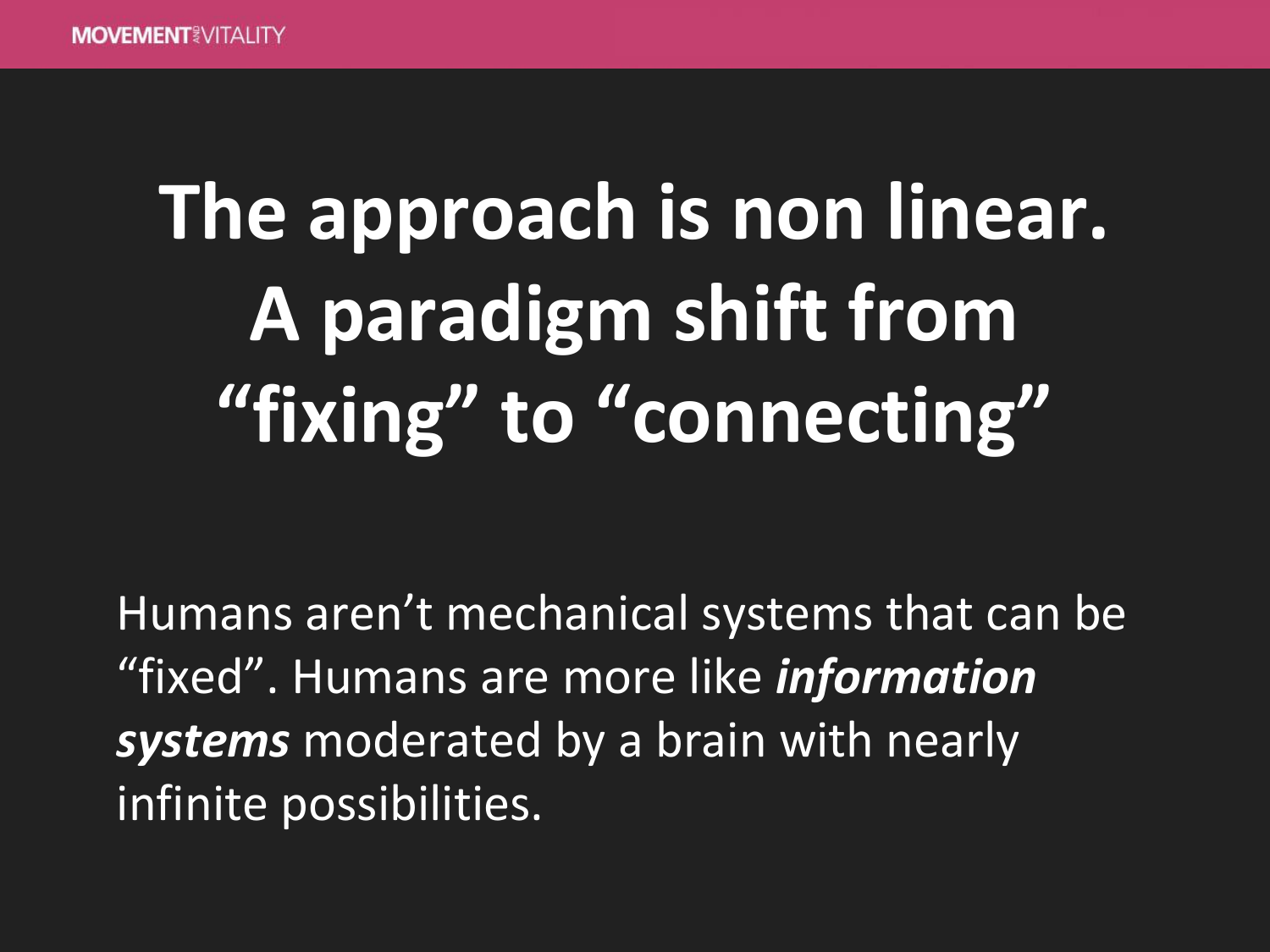# **The approach is non linear. A paradigm shift from "fixing" to "connecting"**

Humans aren't mechanical systems that can be "fixed". Humans are more like *information systems* moderated by a brain with nearly infinite possibilities.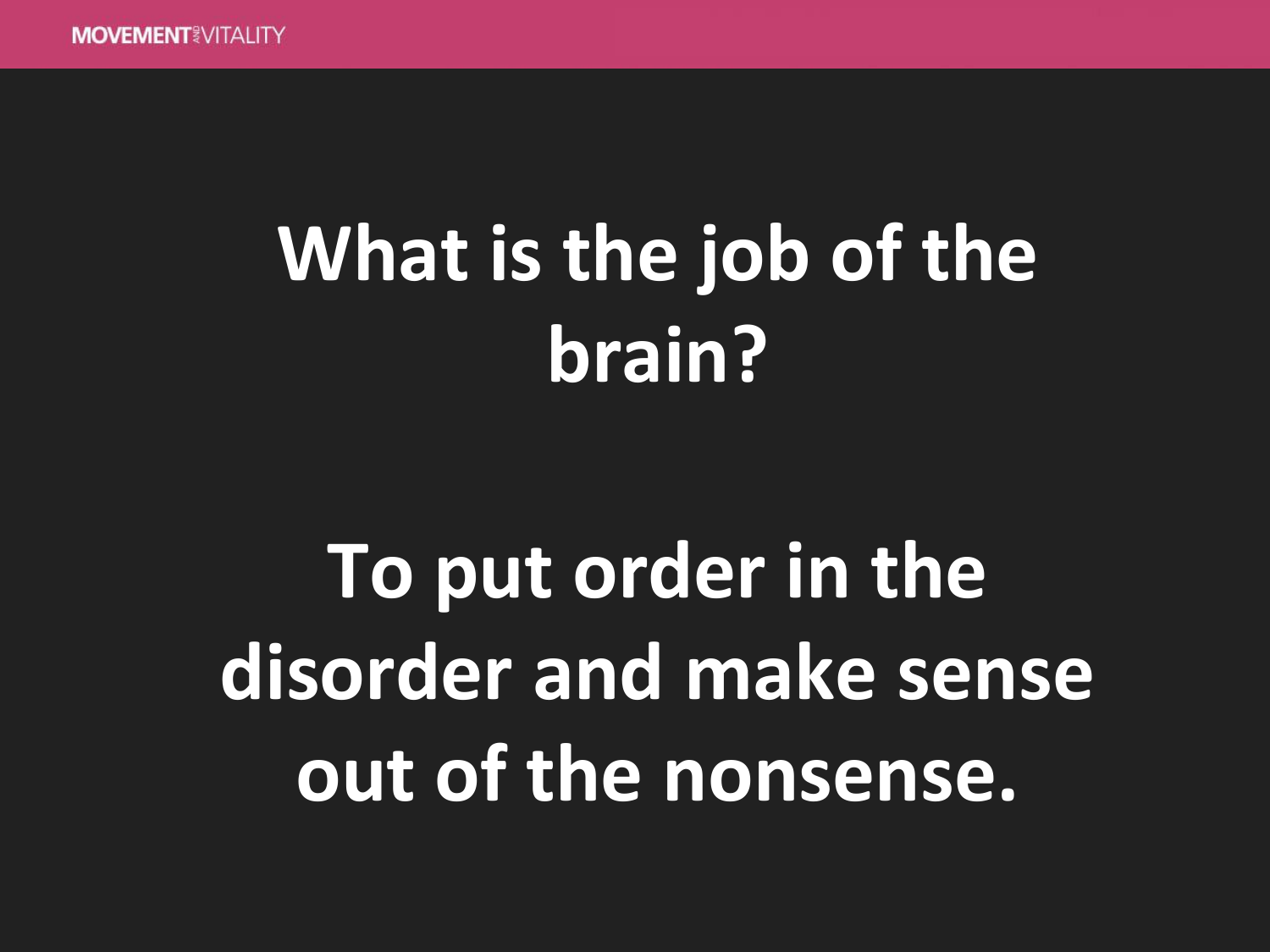## **What is the job of the brain?**

**To put order in the disorder and make sense out of the nonsense.**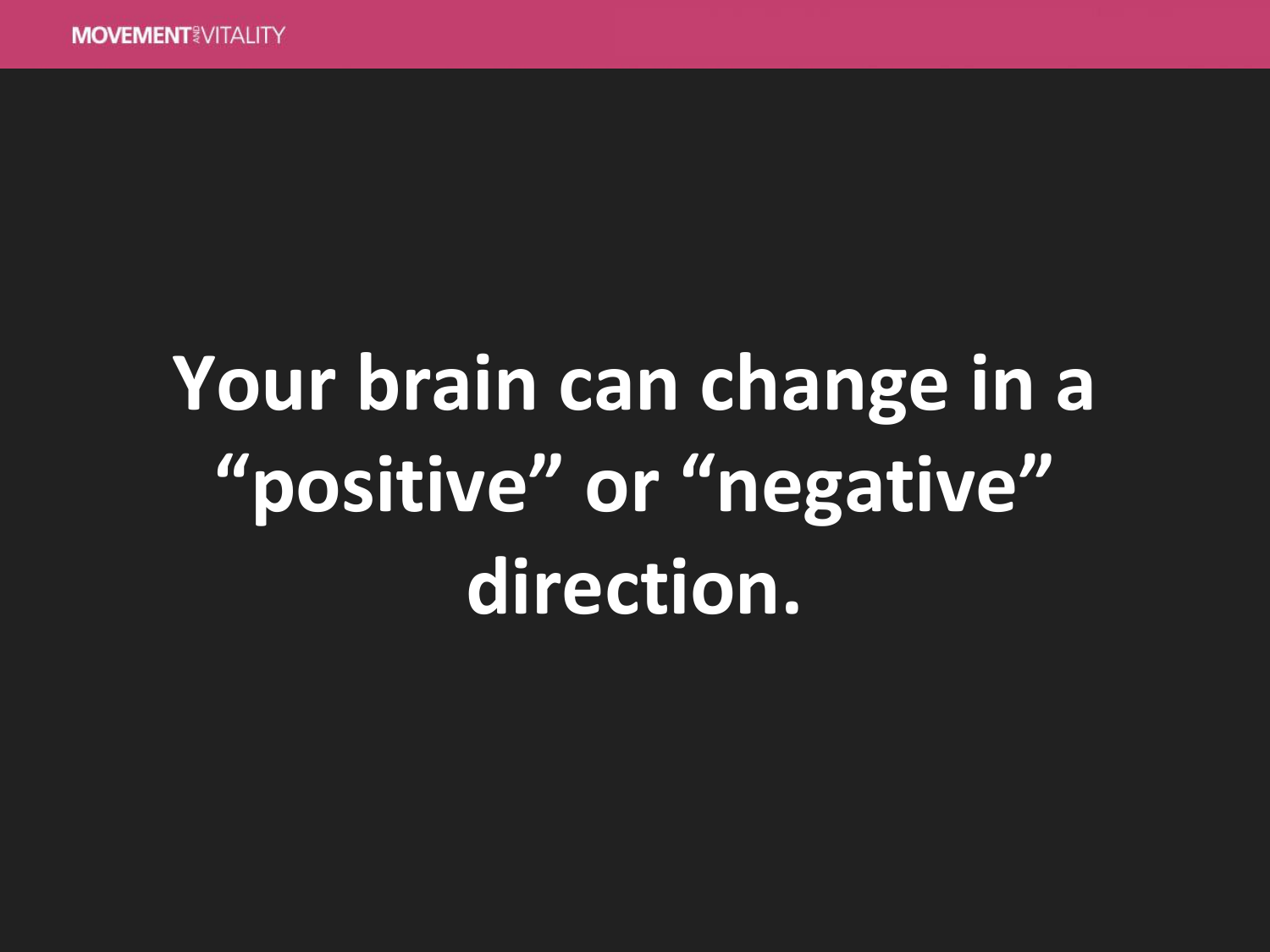## **Your brain can change in a "positive" or "negative" direction.**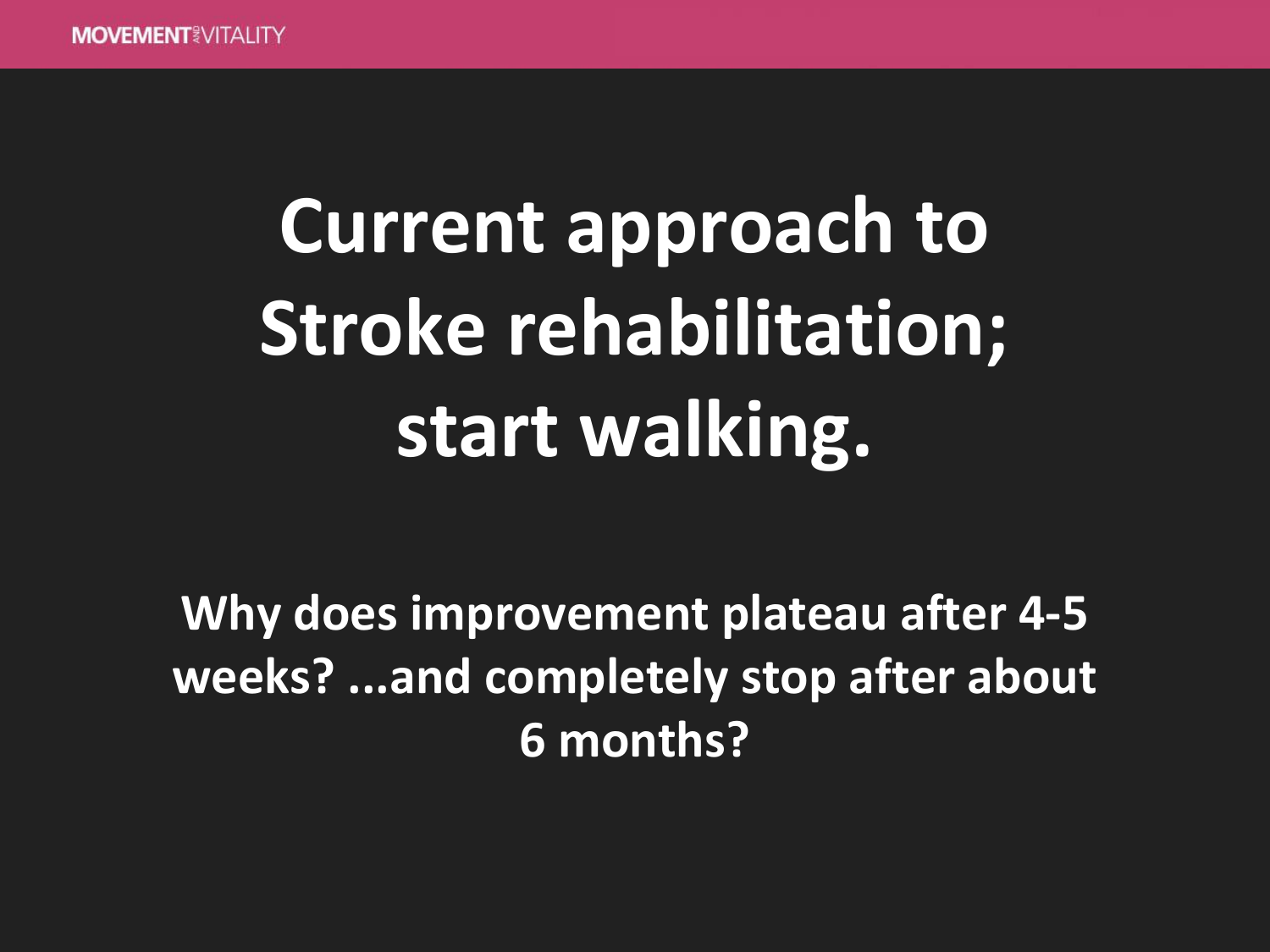# **Current approach to Stroke rehabilitation; start walking.**

**Why does improvement plateau after 4-5 weeks? ...and completely stop after about 6 months?**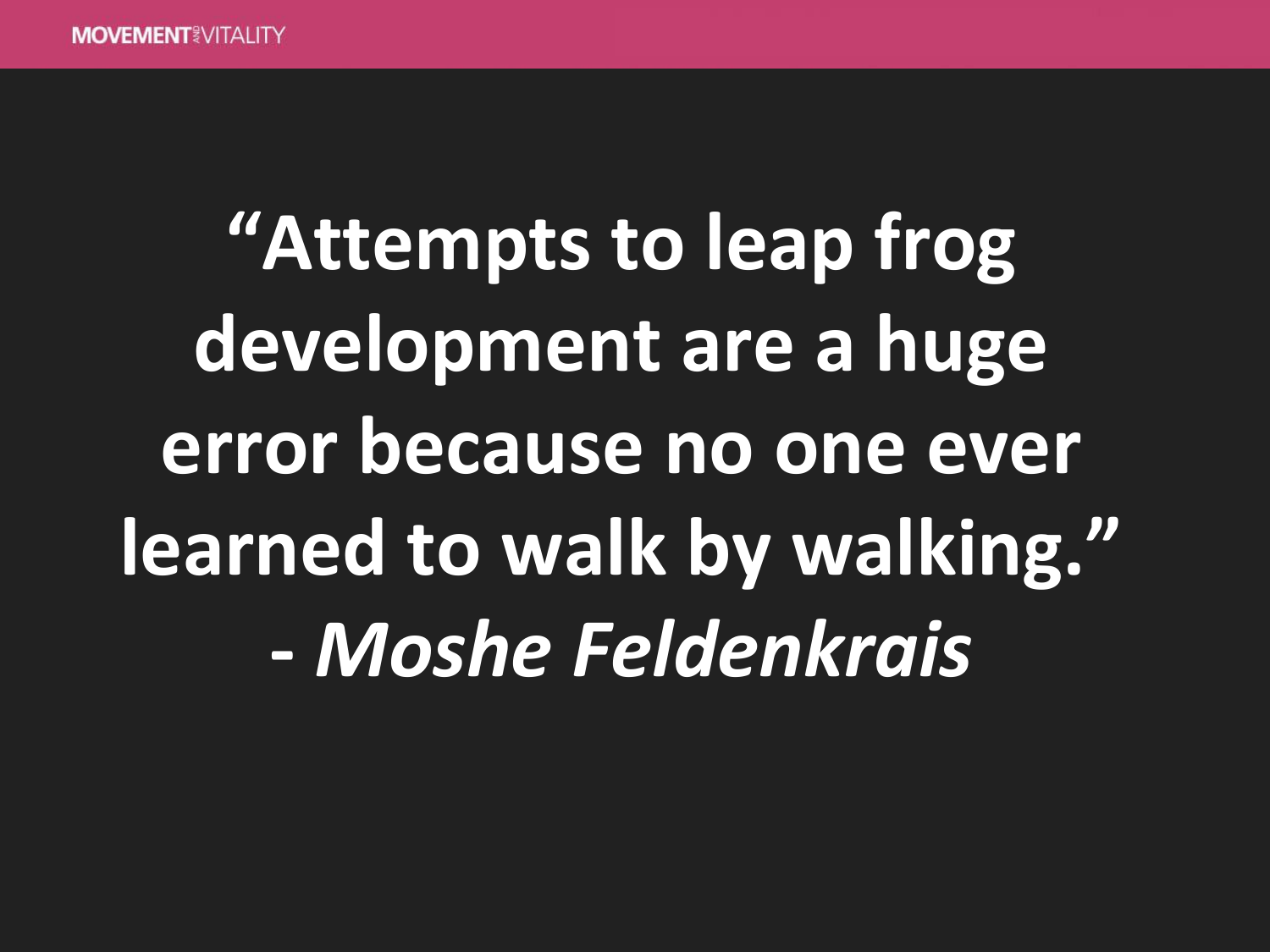**"Attempts to leap frog development are a huge error because no one ever learned to walk by walking." -** *Moshe Feldenkrais*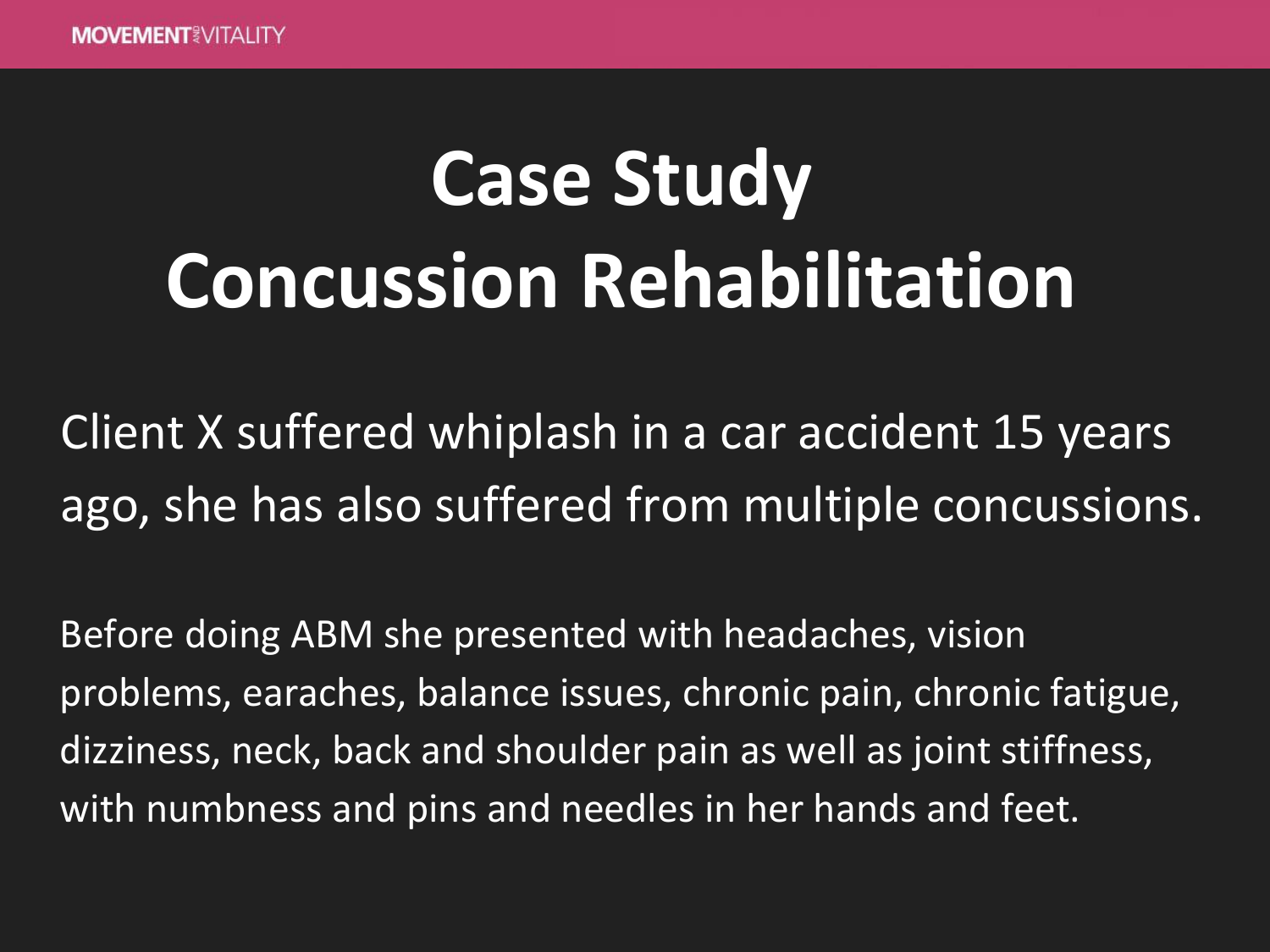### **Case Study Concussion Rehabilitation**

Client X suffered whiplash in a car accident 15 years ago, she has also suffered from multiple concussions.

Before doing ABM she presented with headaches, vision problems, earaches, balance issues, chronic pain, chronic fatigue, dizziness, neck, back and shoulder pain as well as joint stiffness, with numbness and pins and needles in her hands and feet.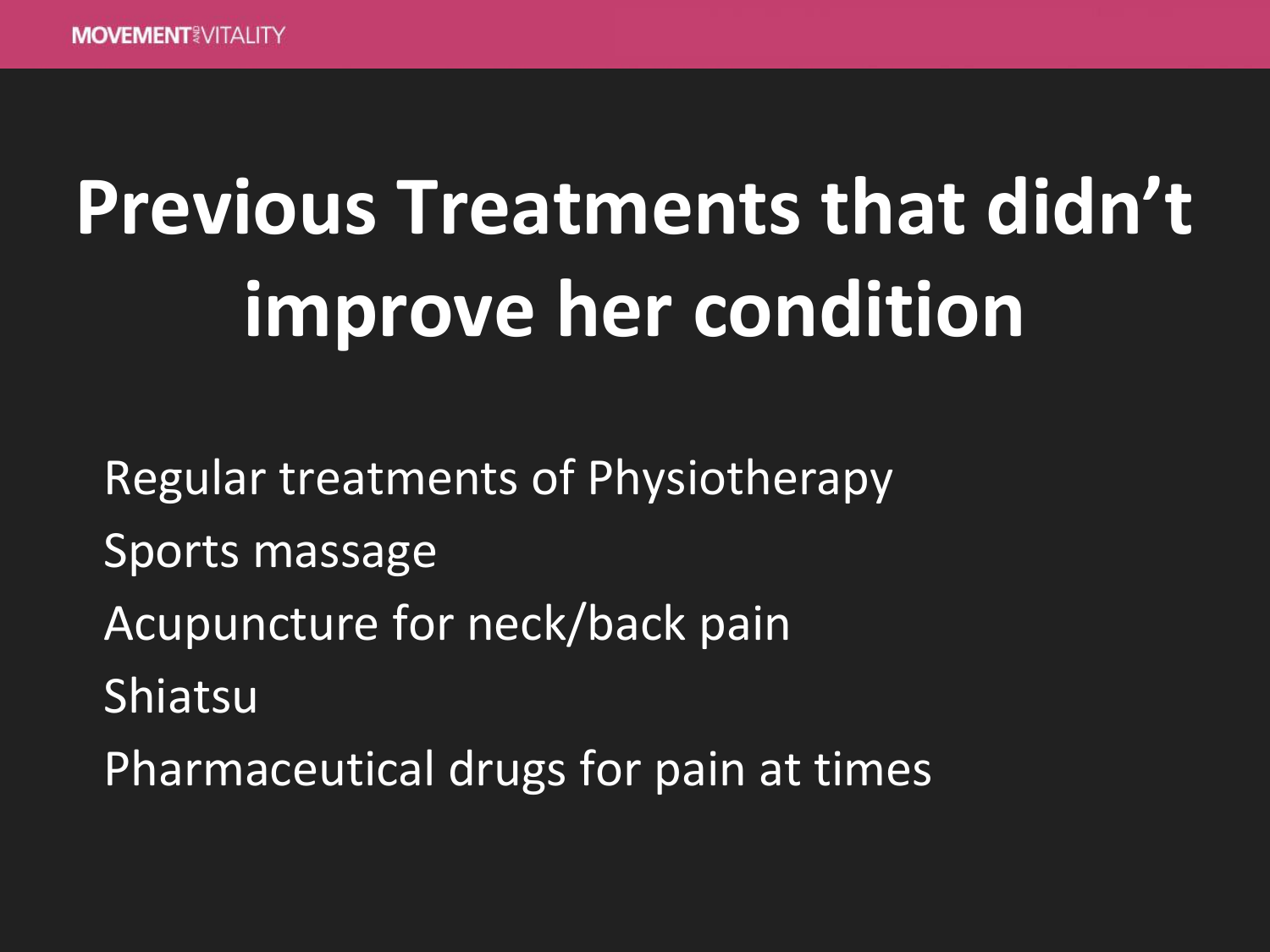## **Previous Treatments that didn't improve her condition**

Regular treatments of Physiotherapy Sports massage Acupuncture for neck/back pain Shiatsu Pharmaceutical drugs for pain at times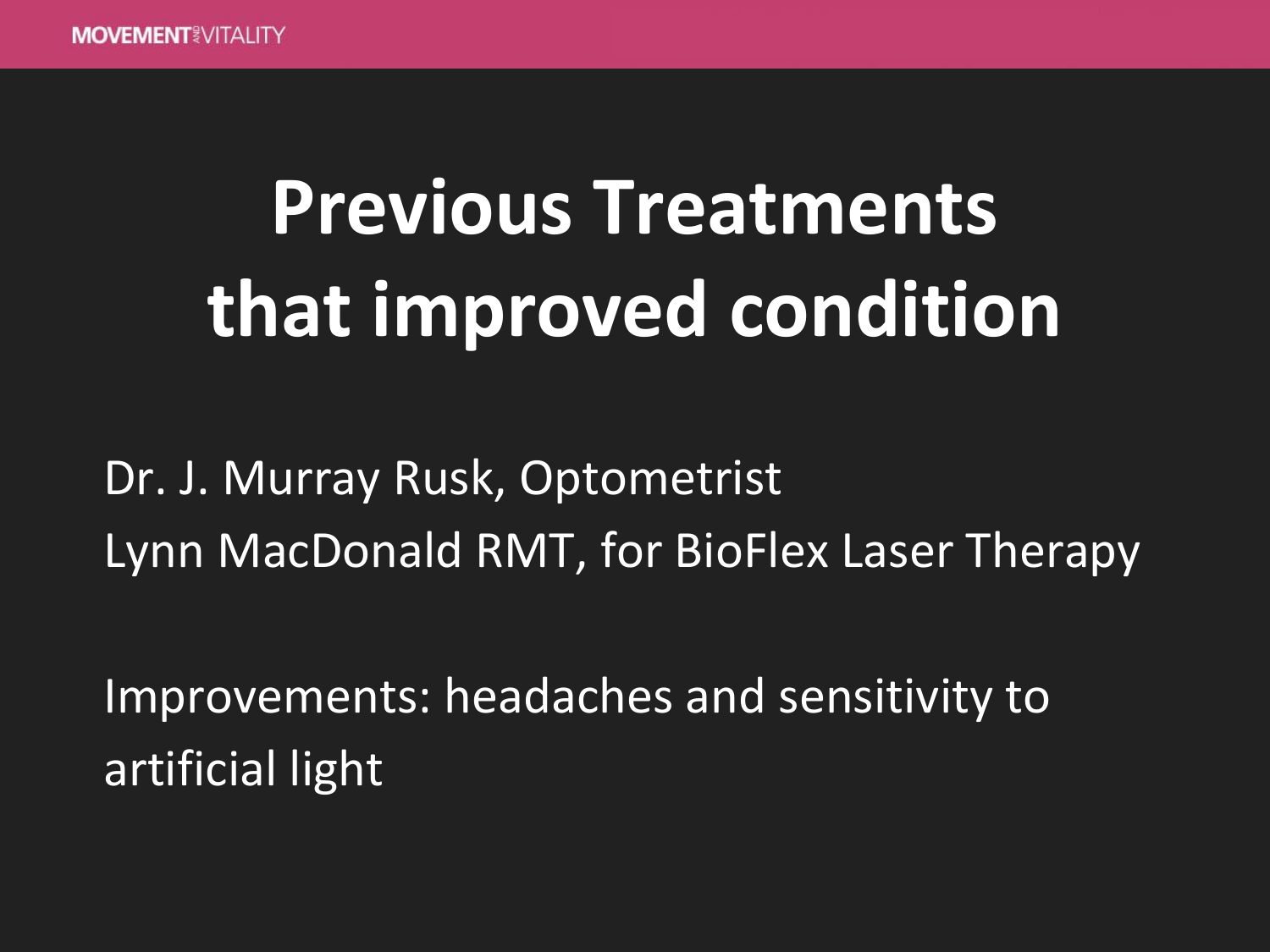## **Previous Treatments that improved condition**

Dr. J. Murray Rusk, Optometrist Lynn MacDonald RMT, for BioFlex Laser Therapy

Improvements: headaches and sensitivity to artificial light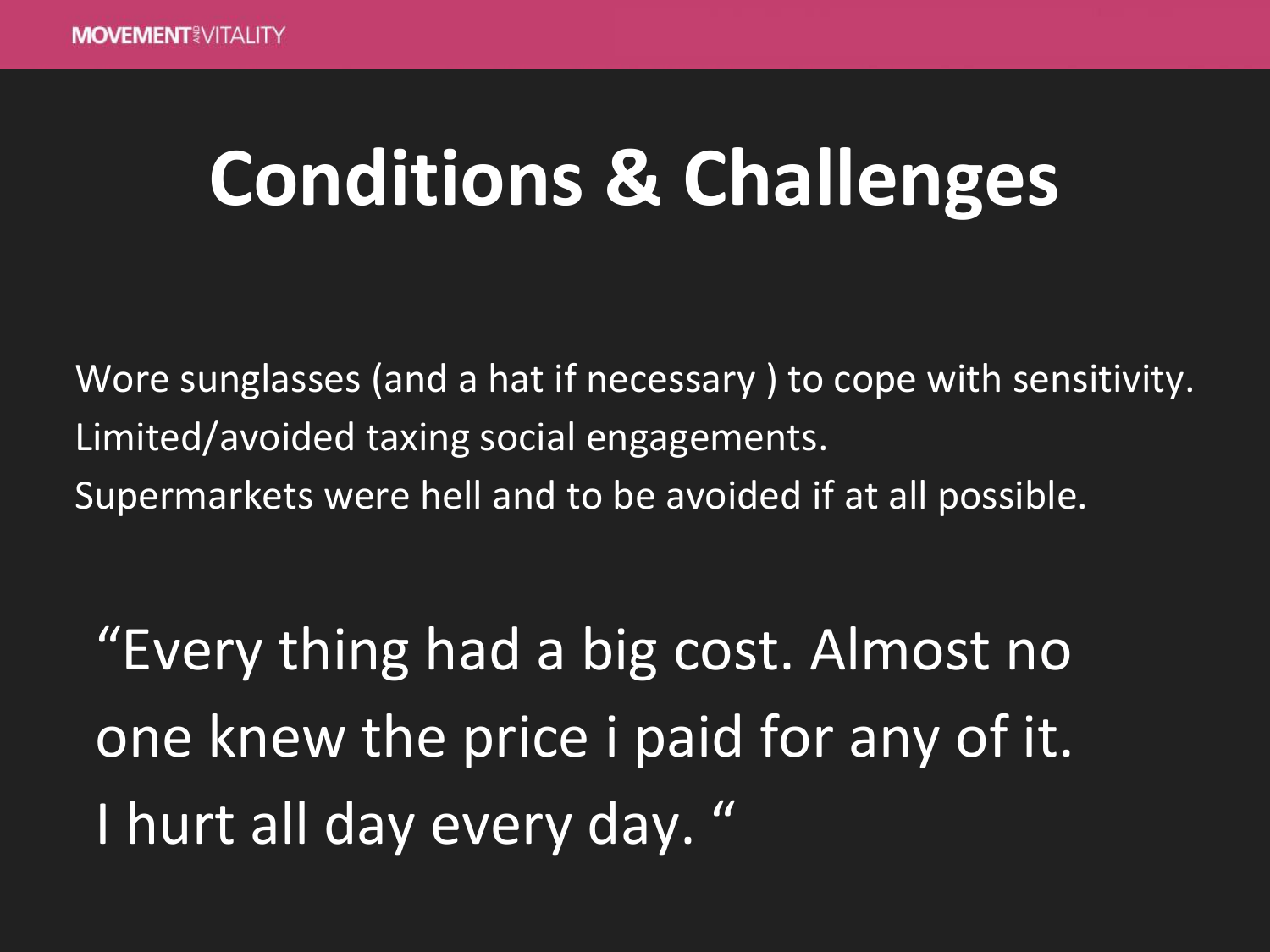### **Conditions & Challenges**

Wore sunglasses (and a hat if necessary ) to cope with sensitivity. Limited/avoided taxing social engagements. Supermarkets were hell and to be avoided if at all possible.

"Every thing had a big cost. Almost no one knew the price i paid for any of it. I hurt all day every day. "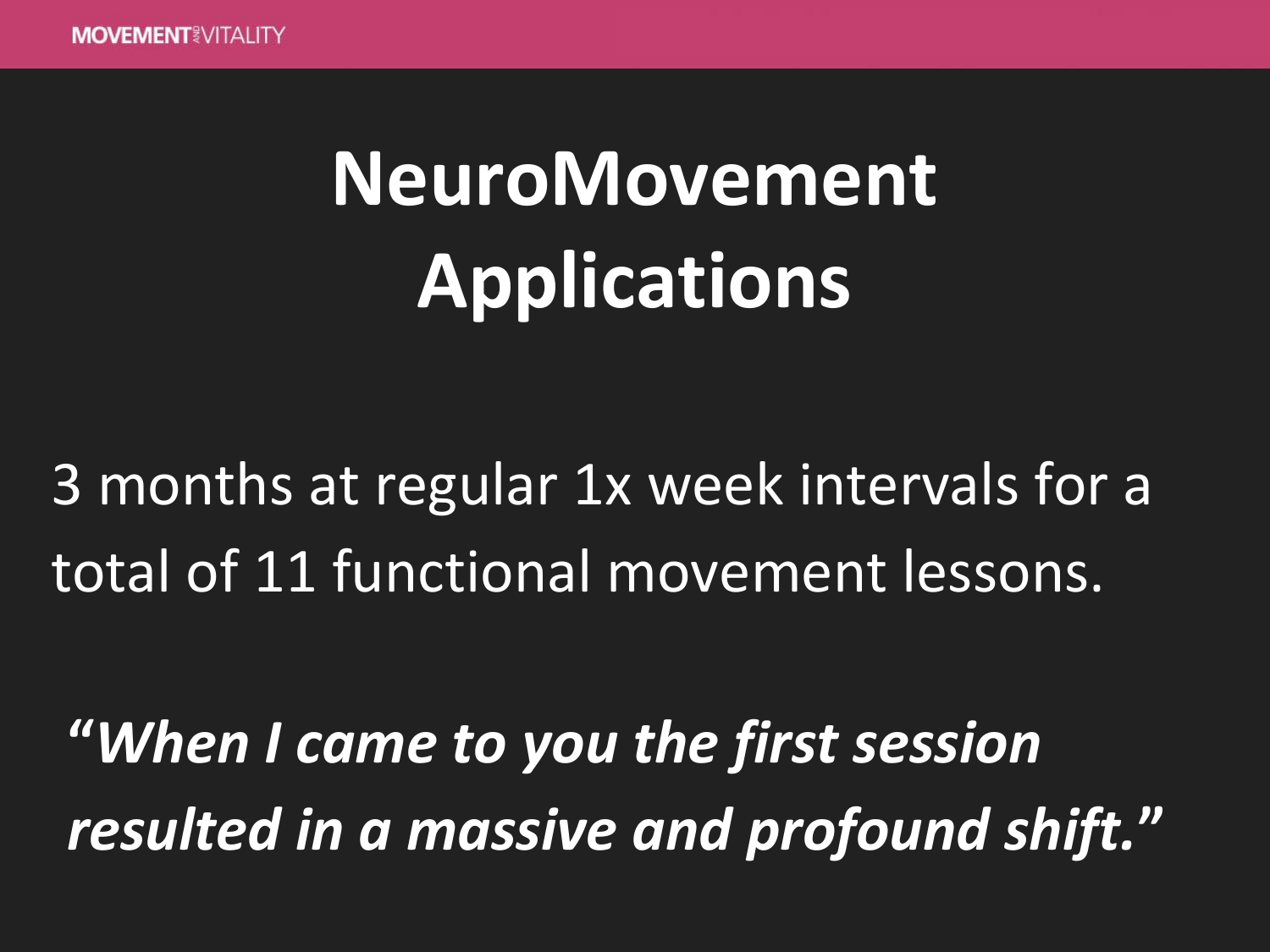## **NeuroMovement Applications**

#### 3 months at regular 1x week intervals for a total of 11 functional movement lessons.

**"***When I came to you the first session resulted in a massive and profound shift.***"**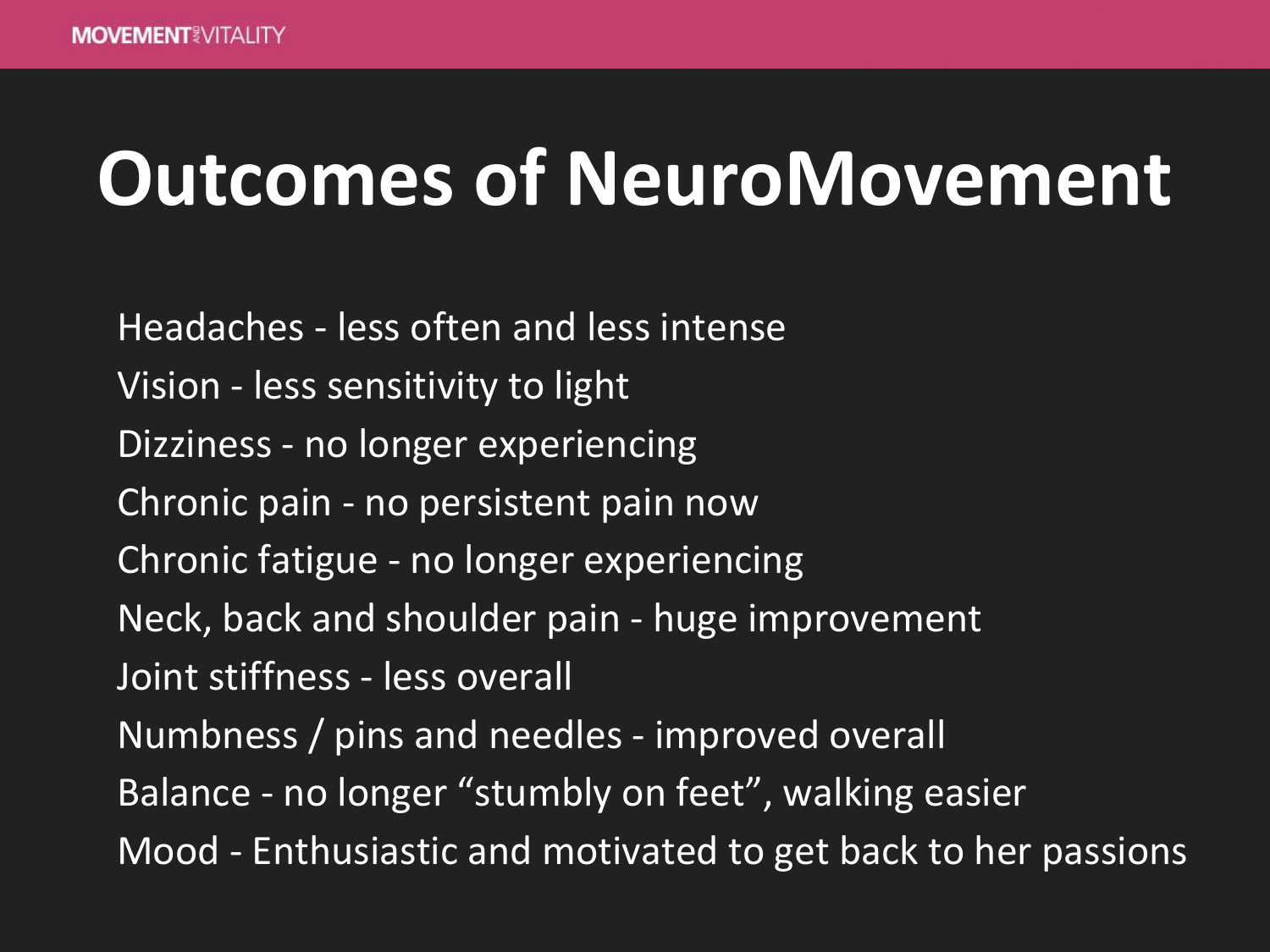### **Outcomes of NeuroMovement**

Headaches - less often and less intense Vision - less sensitivity to light Dizziness - no longer experiencing Chronic pain - no persistent pain now Chronic fatigue - no longer experiencing Neck, back and shoulder pain - huge improvement Joint stiffness - less overall Numbness / pins and needles - improved overall Balance - no longer "stumbly on feet", walking easier Mood - Enthusiastic and motivated to get back to her passions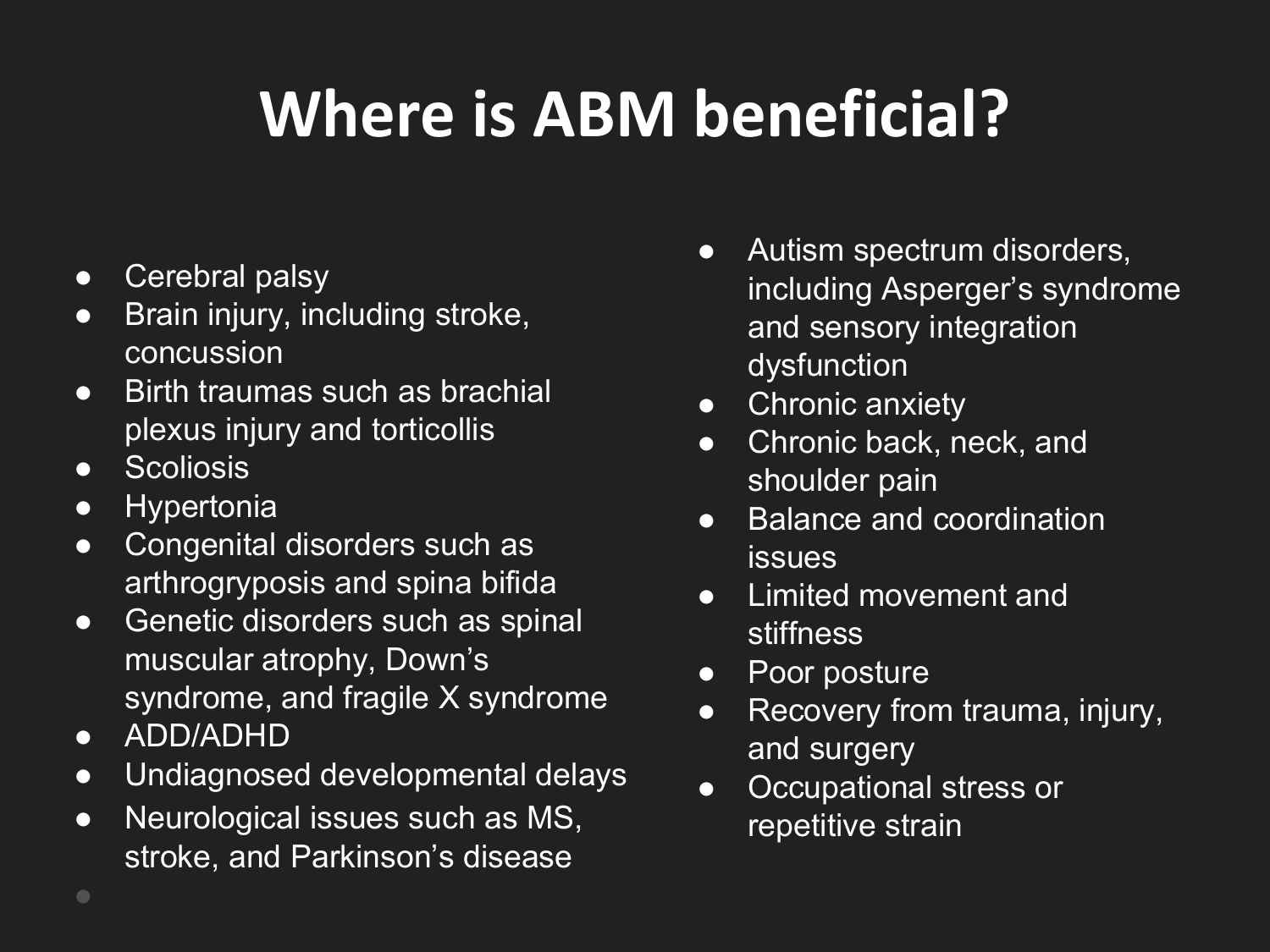### **Where is ABM beneficial?**

- Cerebral palsy
- Brain injury, including stroke, concussion
- Birth traumas such as brachial plexus injury and torticollis
- Scoliosis
- Hypertonia
- Congenital disorders such as arthrogryposis and spina bifida
- Genetic disorders such as spinal muscular atrophy, Down's syndrome, and fragile X syndrome
- ADD/ADHD
- Undiagnosed developmental delays
- Neurological issues such as MS, stroke, and Parkinson's disease
- Autism spectrum disorders, including Asperger's syndrome and sensory integration dysfunction
- Chronic anxiety
- Chronic back, neck, and shoulder pain
- Balance and coordination issues
- Limited movement and **stiffness**
- Poor posture
- Recovery from trauma, injury, and surgery
- Occupational stress or repetitive strain